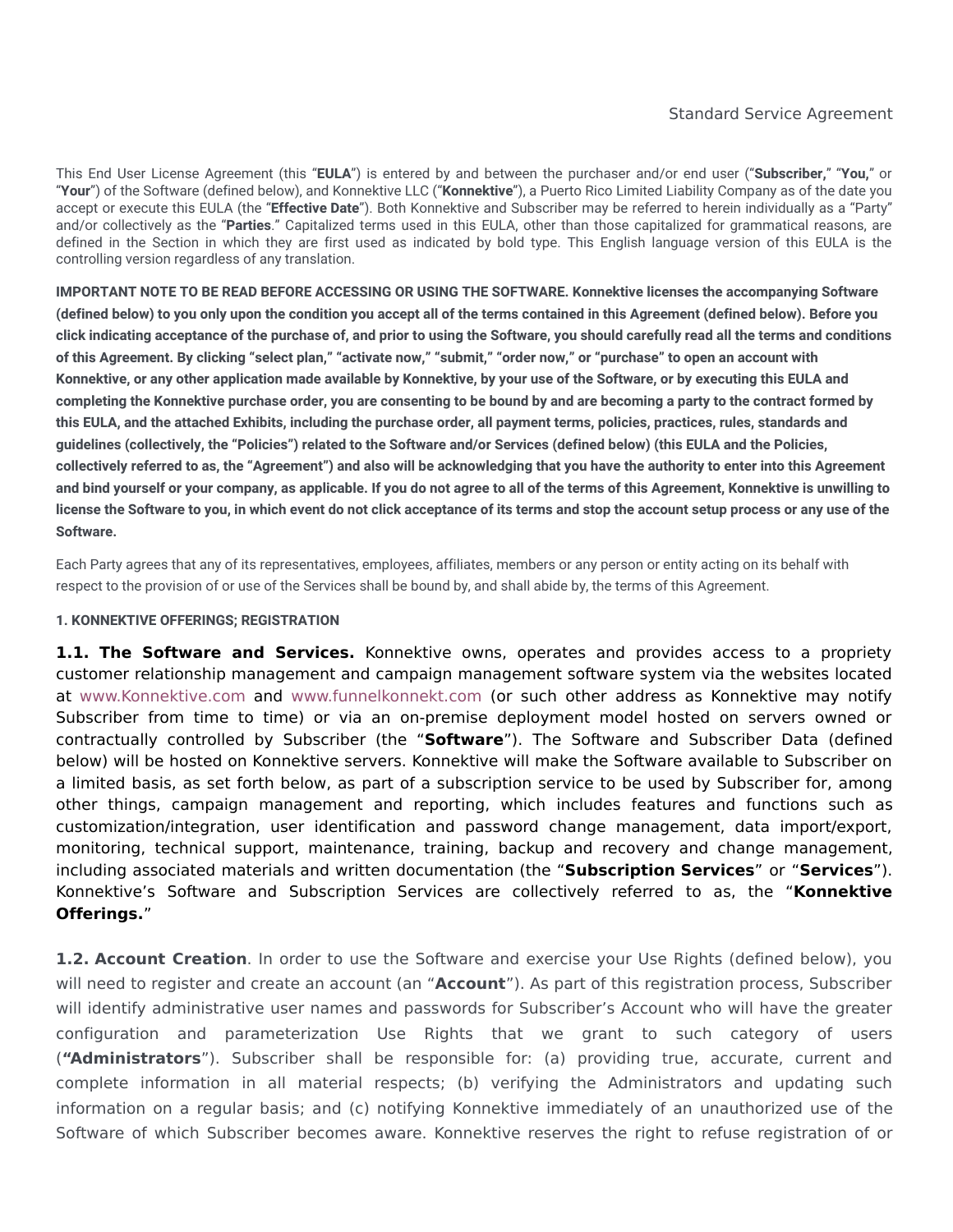This End User License Agreement (this "**EULA**") is entered by and between the purchaser and/or end user ("**Subscriber,**" "**You,**" or "**Your**") of the Software (defined below), and Konnektive LLC ("**Konnektive**"), a Puerto Rico Limited Liability Company as of the date you accept or execute this EULA (the "**Effective Date**"). Both Konnektive and Subscriber may be referred to herein individually as a "Party" and/or collectively as the "**Parties**." Capitalized terms used in this EULA, other than those capitalized for grammatical reasons, are defined in the Section in which they are first used as indicated by bold type. This English language version of this EULA is the controlling version regardless of any translation.

**IMPORTANT NOTE TO BE READ BEFORE ACCESSING OR USING THE SOFTWARE. Konnektive licenses the accompanying Software** (defined below) to you only upon the condition you accept all of the terms contained in this Agreement (defined below). Before you click indicating acceptance of the purchase of, and prior to using the Software, you should carefully read all the terms and conditions of this Agreement. By clicking "select plan," "activate now," "submit," "order now," or "purchase" to open an account with Konnektive, or any other application made available by Konnektive, by your use of the Software, or by executing this EULA and completing the Konnektive purchase order, you are consenting to be bound by and are becoming a party to the contract formed by this EULA, and the attached Exhibits, including the purchase order, all payment terms, policies, practices, rules, standards and quidelines (collectively, the "Policies") related to the Software and/or Services (defined below) (this EULA and the Policies, collectively referred to as, the "Agreement") and also will be acknowledging that you have the authority to enter into this Agreement and bind yourself or your company, as applicable. If you do not agree to all of the terms of this Agreement, Konnektive is unwilling to license the Software to you, in which event do not click acceptance of its terms and stop the account setup process or any use of the **Software.**

Each Party agrees that any of its representatives, employees, affiliates, members or any person or entity acting on its behalf with respect to the provision of or use of the Services shall be bound by, and shall abide by, the terms of this Agreement.

### **1. KONNEKTIVE OFFERINGS; REGISTRATION**

**1.1. The Software and Services.** Konnektive owns, operates and provides access to a propriety customer relationship management and campaign management software system via the websites located at [www.Konnektive.com](http://www.konnektive.com/) and [www.funnelkonnekt.com](http://www.funnelkonnekt.com/) (or such other address as Konnektive may notify Subscriber from time to time) or via an on-premise deployment model hosted on servers owned or contractually controlled by Subscriber (the "**Software**"). The Software and Subscriber Data (defined below) will be hosted on Konnektive servers. Konnektive will make the Software available to Subscriber on a limited basis, as set forth below, as part of a subscription service to be used by Subscriber for, among other things, campaign management and reporting, which includes features and functions such as customization/integration, user identification and password change management, data import/export, monitoring, technical support, maintenance, training, backup and recovery and change management, including associated materials and written documentation (the "**Subscription Services**" or "**Services**"). Konnektive's Software and Subscription Services are collectively referred to as, the "**Konnektive Offerings.**"

**1.2. Account Creation**. In order to use the Software and exercise your Use Rights (defined below), you will need to register and create an account (an "**Account**"). As part of this registration process, Subscriber will identify administrative user names and passwords for Subscriber's Account who will have the greater configuration and parameterization Use Rights that we grant to such category of users (**"Administrators**"). Subscriber shall be responsible for: (a) providing true, accurate, current and complete information in all material respects; (b) verifying the Administrators and updating such information on a regular basis; and (c) notifying Konnektive immediately of an unauthorized use of the Software of which Subscriber becomes aware. Konnektive reserves the right to refuse registration of or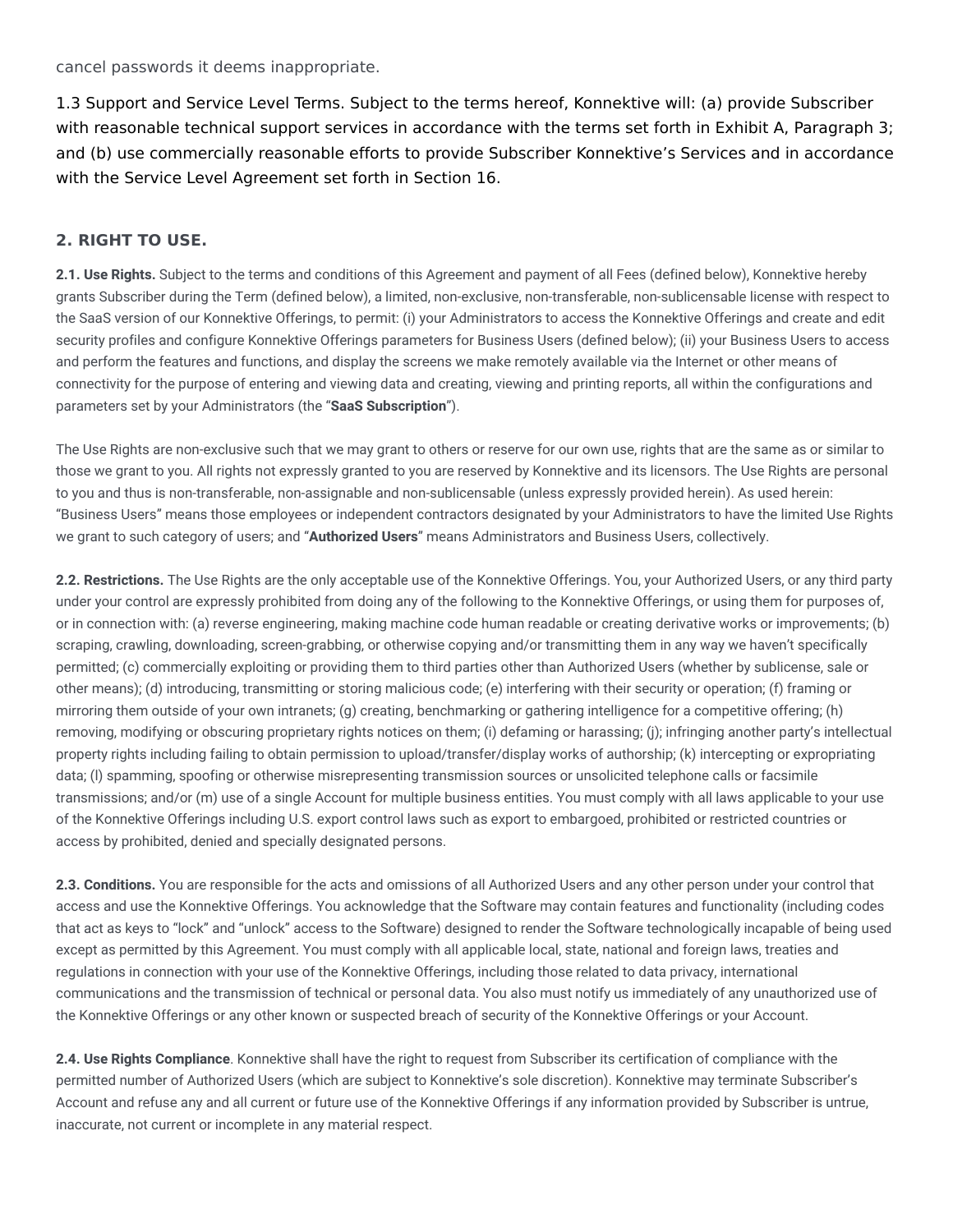cancel passwords it deems inappropriate.

1.3 Support and Service Level Terms. Subject to the terms hereof, Konnektive will: (a) provide Subscriber with reasonable technical support services in accordance with the terms set forth in Exhibit A, Paragraph 3; and (b) use commercially reasonable efforts to provide Subscriber Konnektive's Services and in accordance with the Service Level Agreement set forth in Section 16.

# **2. RIGHT TO USE.**

**2.1. Use Rights.** Subject to the terms and conditions of this Agreement and payment of all Fees (defined below), Konnektive hereby grants Subscriber during the Term (defined below), a limited, non-exclusive, non-transferable, non-sublicensable license with respect to the SaaS version of our Konnektive Offerings, to permit: (i) your Administrators to access the Konnektive Offerings and create and edit security profiles and configure Konnektive Offerings parameters for Business Users (defined below); (ii) your Business Users to access and perform the features and functions, and display the screens we make remotely available via the Internet or other means of connectivity for the purpose of entering and viewing data and creating, viewing and printing reports, all within the configurations and parameters set by your Administrators (the "**SaaS Subscription**").

The Use Rights are non-exclusive such that we may grant to others or reserve for our own use, rights that are the same as or similar to those we grant to you. All rights not expressly granted to you are reserved by Konnektive and its licensors. The Use Rights are personal to you and thus is non-transferable, non-assignable and non-sublicensable (unless expressly provided herein). As used herein: "Business Users" means those employees or independent contractors designated by your Administrators to have the limited Use Rights we grant to such category of users; and "**Authorized Users**" means Administrators and Business Users, collectively.

**2.2. Restrictions.** The Use Rights are the only acceptable use of the Konnektive Offerings. You, your Authorized Users, or any third party under your control are expressly prohibited from doing any of the following to the Konnektive Offerings, or using them for purposes of, or in connection with: (a) reverse engineering, making machine code human readable or creating derivative works or improvements; (b) scraping, crawling, downloading, screen-grabbing, or otherwise copying and/or transmitting them in any way we haven't specifically permitted; (c) commercially exploiting or providing them to third parties other than Authorized Users (whether by sublicense, sale or other means); (d) introducing, transmitting or storing malicious code; (e) interfering with their security or operation; (f) framing or mirroring them outside of your own intranets; (g) creating, benchmarking or gathering intelligence for a competitive offering; (h) removing, modifying or obscuring proprietary rights notices on them; (i) defaming or harassing; (j); infringing another party's intellectual property rights including failing to obtain permission to upload/transfer/display works of authorship; (k) intercepting or expropriating data; (l) spamming, spoofing or otherwise misrepresenting transmission sources or unsolicited telephone calls or facsimile transmissions; and/or (m) use of a single Account for multiple business entities. You must comply with all laws applicable to your use of the Konnektive Offerings including U.S. export control laws such as export to embargoed, prohibited or restricted countries or access by prohibited, denied and specially designated persons.

**2.3. Conditions.** You are responsible for the acts and omissions of all Authorized Users and any other person under your control that access and use the Konnektive Offerings. You acknowledge that the Software may contain features and functionality (including codes that act as keys to "lock" and "unlock" access to the Software) designed to render the Software technologically incapable of being used except as permitted by this Agreement. You must comply with all applicable local, state, national and foreign laws, treaties and regulations in connection with your use of the Konnektive Offerings, including those related to data privacy, international communications and the transmission of technical or personal data. You also must notify us immediately of any unauthorized use of the Konnektive Offerings or any other known or suspected breach of security of the Konnektive Offerings or your Account.

**2.4. Use Rights Compliance**. Konnektive shall have the right to request from Subscriber its certification of compliance with the permitted number of Authorized Users (which are subject to Konnektive's sole discretion). Konnektive may terminate Subscriber's Account and refuse any and all current or future use of the Konnektive Offerings if any information provided by Subscriber is untrue, inaccurate, not current or incomplete in any material respect.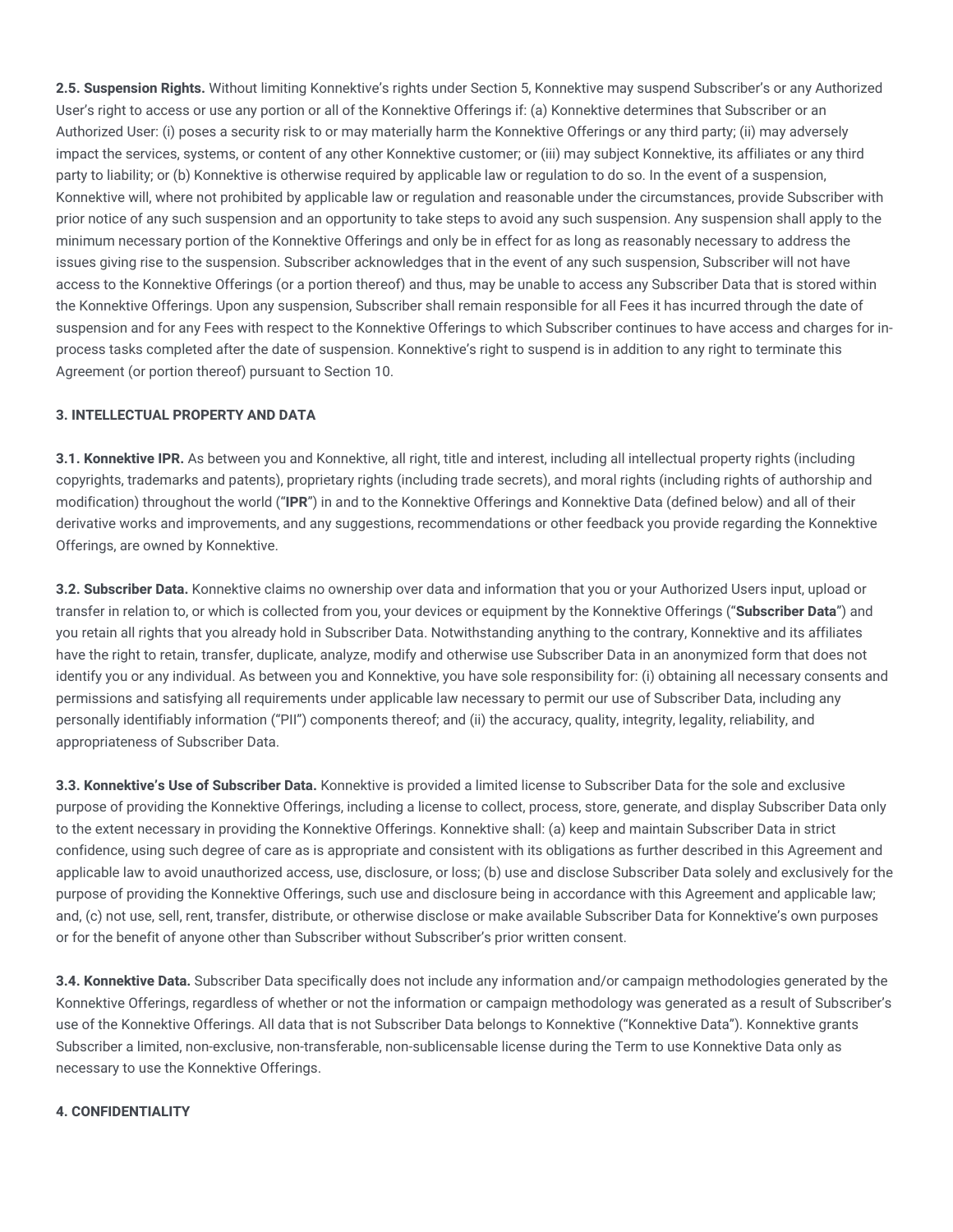**2.5. Suspension Rights.** Without limiting Konnektive's rights under Section 5, Konnektive may suspend Subscriber's or any Authorized User's right to access or use any portion or all of the Konnektive Offerings if: (a) Konnektive determines that Subscriber or an Authorized User: (i) poses a security risk to or may materially harm the Konnektive Offerings or any third party; (ii) may adversely impact the services, systems, or content of any other Konnektive customer; or (iii) may subject Konnektive, its affiliates or any third party to liability; or (b) Konnektive is otherwise required by applicable law or regulation to do so. In the event of a suspension, Konnektive will, where not prohibited by applicable law or regulation and reasonable under the circumstances, provide Subscriber with prior notice of any such suspension and an opportunity to take steps to avoid any such suspension. Any suspension shall apply to the minimum necessary portion of the Konnektive Offerings and only be in effect for as long as reasonably necessary to address the issues giving rise to the suspension. Subscriber acknowledges that in the event of any such suspension, Subscriber will not have access to the Konnektive Offerings (or a portion thereof) and thus, may be unable to access any Subscriber Data that is stored within the Konnektive Offerings. Upon any suspension, Subscriber shall remain responsible for all Fees it has incurred through the date of suspension and for any Fees with respect to the Konnektive Offerings to which Subscriber continues to have access and charges for inprocess tasks completed after the date of suspension. Konnektive's right to suspend is in addition to any right to terminate this Agreement (or portion thereof) pursuant to Section 10.

### **3. INTELLECTUAL PROPERTY AND DATA**

**3.1. Konnektive IPR.** As between you and Konnektive, all right, title and interest, including all intellectual property rights (including copyrights, trademarks and patents), proprietary rights (including trade secrets), and moral rights (including rights of authorship and modification) throughout the world ("**IPR**") in and to the Konnektive Offerings and Konnektive Data (defined below) and all of their derivative works and improvements, and any suggestions, recommendations or other feedback you provide regarding the Konnektive Offerings, are owned by Konnektive.

**3.2. Subscriber Data.** Konnektive claims no ownership over data and information that you or your Authorized Users input, upload or transfer in relation to, or which is collected from you, your devices or equipment by the Konnektive Offerings ("**Subscriber Data**") and you retain all rights that you already hold in Subscriber Data. Notwithstanding anything to the contrary, Konnektive and its affiliates have the right to retain, transfer, duplicate, analyze, modify and otherwise use Subscriber Data in an anonymized form that does not identify you or any individual. As between you and Konnektive, you have sole responsibility for: (i) obtaining all necessary consents and permissions and satisfying all requirements under applicable law necessary to permit our use of Subscriber Data, including any personally identifiably information ("PII") components thereof; and (ii) the accuracy, quality, integrity, legality, reliability, and appropriateness of Subscriber Data.

**3.3. Konnektive's Use of Subscriber Data.** Konnektive is provided a limited license to Subscriber Data for the sole and exclusive purpose of providing the Konnektive Offerings, including a license to collect, process, store, generate, and display Subscriber Data only to the extent necessary in providing the Konnektive Offerings. Konnektive shall: (a) keep and maintain Subscriber Data in strict confidence, using such degree of care as is appropriate and consistent with its obligations as further described in this Agreement and applicable law to avoid unauthorized access, use, disclosure, or loss; (b) use and disclose Subscriber Data solely and exclusively for the purpose of providing the Konnektive Offerings, such use and disclosure being in accordance with this Agreement and applicable law; and, (c) not use, sell, rent, transfer, distribute, or otherwise disclose or make available Subscriber Data for Konnektive's own purposes or for the benefit of anyone other than Subscriber without Subscriber's prior written consent.

**3.4. Konnektive Data.** Subscriber Data specifically does not include any information and/or campaign methodologies generated by the Konnektive Offerings, regardless of whether or not the information or campaign methodology was generated as a result of Subscriber's use of the Konnektive Offerings. All data that is not Subscriber Data belongs to Konnektive ("Konnektive Data"). Konnektive grants Subscriber a limited, non-exclusive, non-transferable, non-sublicensable license during the Term to use Konnektive Data only as necessary to use the Konnektive Offerings.

#### **4. CONFIDENTIALITY**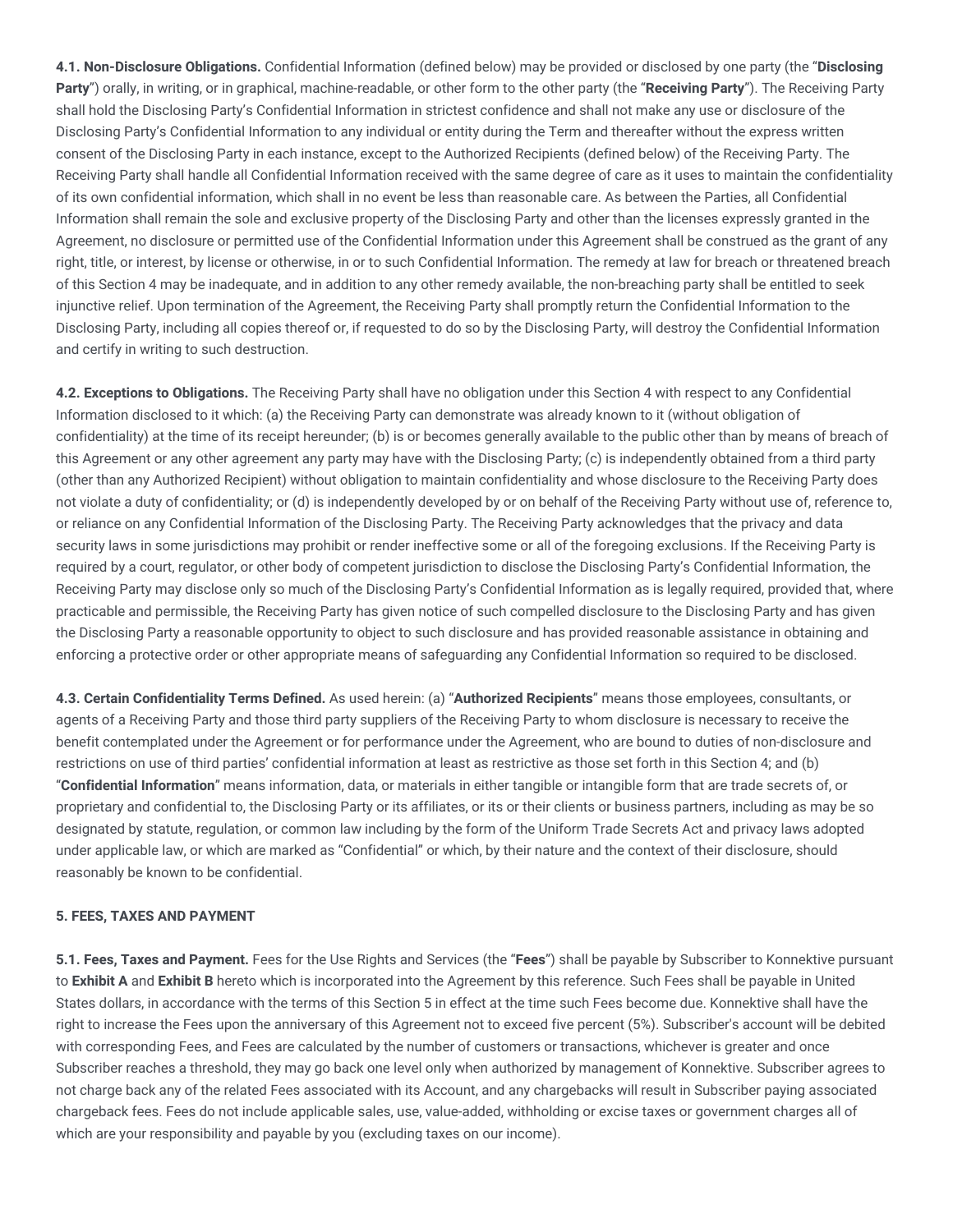**4.1. Non-Disclosure Obligations.** Confidential Information (defined below) may be provided or disclosed by one party (the "**Disclosing Party**") orally, in writing, or in graphical, machine-readable, or other form to the other party (the "**Receiving Party**"). The Receiving Party shall hold the Disclosing Party's Confidential Information in strictest confidence and shall not make any use or disclosure of the Disclosing Party's Confidential Information to any individual or entity during the Term and thereafter without the express written consent of the Disclosing Party in each instance, except to the Authorized Recipients (defined below) of the Receiving Party. The Receiving Party shall handle all Confidential Information received with the same degree of care as it uses to maintain the confidentiality of its own confidential information, which shall in no event be less than reasonable care. As between the Parties, all Confidential Information shall remain the sole and exclusive property of the Disclosing Party and other than the licenses expressly granted in the Agreement, no disclosure or permitted use of the Confidential Information under this Agreement shall be construed as the grant of any right, title, or interest, by license or otherwise, in or to such Confidential Information. The remedy at law for breach or threatened breach of this Section 4 may be inadequate, and in addition to any other remedy available, the non-breaching party shall be entitled to seek injunctive relief. Upon termination of the Agreement, the Receiving Party shall promptly return the Confidential Information to the Disclosing Party, including all copies thereof or, if requested to do so by the Disclosing Party, will destroy the Confidential Information and certify in writing to such destruction.

**4.2. Exceptions to Obligations.** The Receiving Party shall have no obligation under this Section 4 with respect to any Confidential Information disclosed to it which: (a) the Receiving Party can demonstrate was already known to it (without obligation of confidentiality) at the time of its receipt hereunder; (b) is or becomes generally available to the public other than by means of breach of this Agreement or any other agreement any party may have with the Disclosing Party; (c) is independently obtained from a third party (other than any Authorized Recipient) without obligation to maintain confidentiality and whose disclosure to the Receiving Party does not violate a duty of confidentiality; or (d) is independently developed by or on behalf of the Receiving Party without use of, reference to, or reliance on any Confidential Information of the Disclosing Party. The Receiving Party acknowledges that the privacy and data security laws in some jurisdictions may prohibit or render ineffective some or all of the foregoing exclusions. If the Receiving Party is required by a court, regulator, or other body of competent jurisdiction to disclose the Disclosing Party's Confidential Information, the Receiving Party may disclose only so much of the Disclosing Party's Confidential Information as is legally required, provided that, where practicable and permissible, the Receiving Party has given notice of such compelled disclosure to the Disclosing Party and has given the Disclosing Party a reasonable opportunity to object to such disclosure and has provided reasonable assistance in obtaining and enforcing a protective order or other appropriate means of safeguarding any Confidential Information so required to be disclosed.

**4.3. Certain Confidentiality Terms Defined.** As used herein: (a) "**Authorized Recipients**" means those employees, consultants, or agents of a Receiving Party and those third party suppliers of the Receiving Party to whom disclosure is necessary to receive the benefit contemplated under the Agreement or for performance under the Agreement, who are bound to duties of non-disclosure and restrictions on use of third parties' confidential information at least as restrictive as those set forth in this Section 4; and (b) "**Confidential Information**" means information, data, or materials in either tangible or intangible form that are trade secrets of, or proprietary and confidential to, the Disclosing Party or its affiliates, or its or their clients or business partners, including as may be so designated by statute, regulation, or common law including by the form of the Uniform Trade Secrets Act and privacy laws adopted under applicable law, or which are marked as "Confidential" or which, by their nature and the context of their disclosure, should reasonably be known to be confidential.

#### **5. FEES, TAXES AND PAYMENT**

**5.1. Fees, Taxes and Payment.** Fees for the Use Rights and Services (the "**Fees**") shall be payable by Subscriber to Konnektive pursuant to **Exhibit A** and **Exhibit B** hereto which is incorporated into the Agreement by this reference. Such Fees shall be payable in United States dollars, in accordance with the terms of this Section 5 in effect at the time such Fees become due. Konnektive shall have the right to increase the Fees upon the anniversary of this Agreement not to exceed five percent (5%). Subscriber's account will be debited with corresponding Fees, and Fees are calculated by the number of customers or transactions, whichever is greater and once Subscriber reaches a threshold, they may go back one level only when authorized by management of Konnektive. Subscriber agrees to not charge back any of the related Fees associated with its Account, and any chargebacks will result in Subscriber paying associated chargeback fees. Fees do not include applicable sales, use, value-added, withholding or excise taxes or government charges all of which are your responsibility and payable by you (excluding taxes on our income).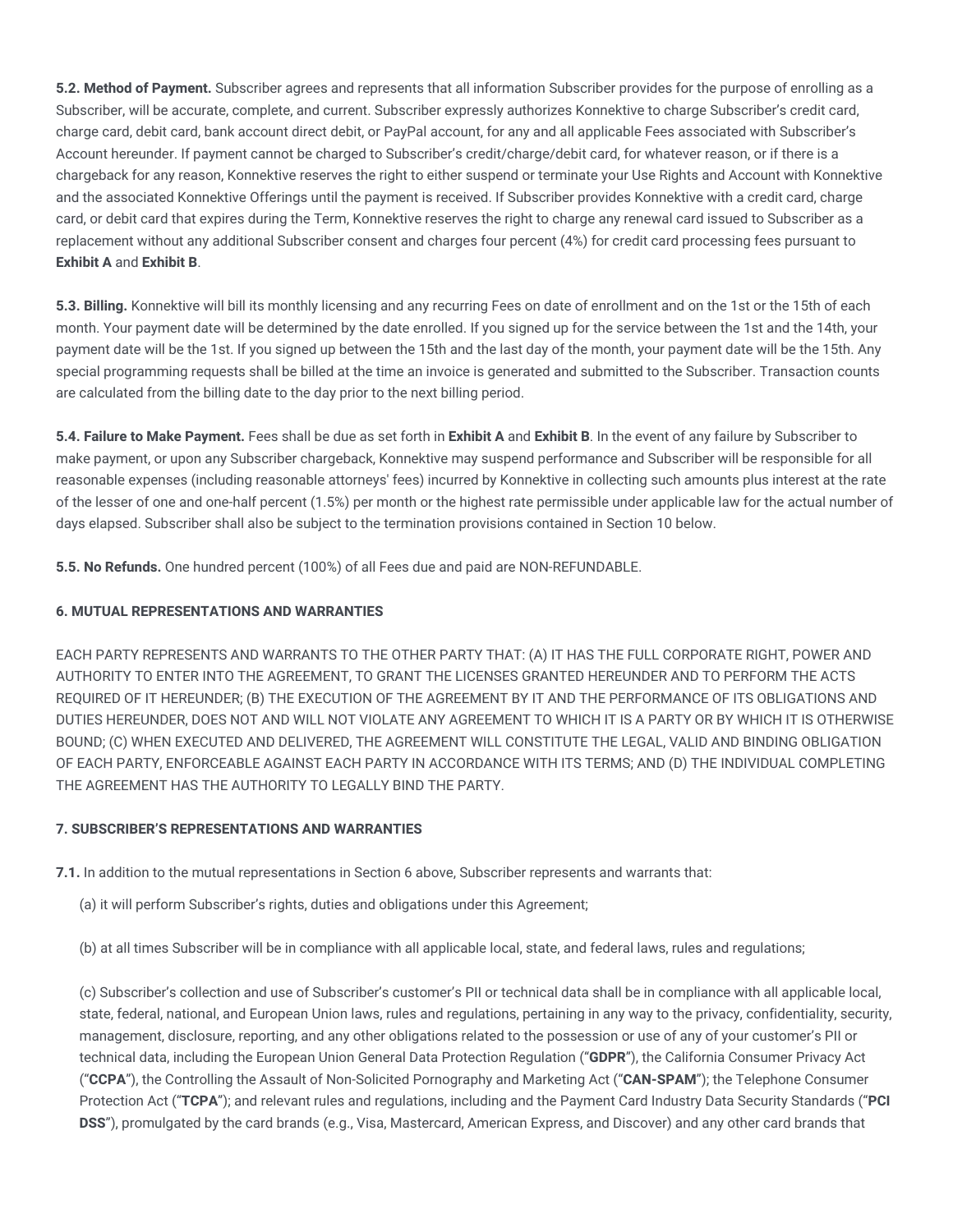**5.2. Method of Payment.** Subscriber agrees and represents that all information Subscriber provides for the purpose of enrolling as a Subscriber, will be accurate, complete, and current. Subscriber expressly authorizes Konnektive to charge Subscriber's credit card, charge card, debit card, bank account direct debit, or PayPal account, for any and all applicable Fees associated with Subscriber's Account hereunder. If payment cannot be charged to Subscriber's credit/charge/debit card, for whatever reason, or if there is a chargeback for any reason, Konnektive reserves the right to either suspend or terminate your Use Rights and Account with Konnektive and the associated Konnektive Offerings until the payment is received. If Subscriber provides Konnektive with a credit card, charge card, or debit card that expires during the Term, Konnektive reserves the right to charge any renewal card issued to Subscriber as a replacement without any additional Subscriber consent and charges four percent (4%) for credit card processing fees pursuant to **Exhibit A** and **Exhibit B**.

**5.3. Billing.** Konnektive will bill its monthly licensing and any recurring Fees on date of enrollment and on the 1st or the 15th of each month. Your payment date will be determined by the date enrolled. If you signed up for the service between the 1st and the 14th, your payment date will be the 1st. If you signed up between the 15th and the last day of the month, your payment date will be the 15th. Any special programming requests shall be billed at the time an invoice is generated and submitted to the Subscriber. Transaction counts are calculated from the billing date to the day prior to the next billing period.

**5.4. Failure to Make Payment.** Fees shall be due as set forth in **Exhibit A** and **Exhibit B**. In the event of any failure by Subscriber to make payment, or upon any Subscriber chargeback, Konnektive may suspend performance and Subscriber will be responsible for all reasonable expenses (including reasonable attorneys' fees) incurred by Konnektive in collecting such amounts plus interest at the rate of the lesser of one and one-half percent (1.5%) per month or the highest rate permissible under applicable law for the actual number of days elapsed. Subscriber shall also be subject to the termination provisions contained in Section 10 below.

**5.5. No Refunds.** One hundred percent (100%) of all Fees due and paid are NON-REFUNDABLE.

## **6. MUTUAL REPRESENTATIONS AND WARRANTIES**

EACH PARTY REPRESENTS AND WARRANTS TO THE OTHER PARTY THAT: (A) IT HAS THE FULL CORPORATE RIGHT, POWER AND AUTHORITY TO ENTER INTO THE AGREEMENT, TO GRANT THE LICENSES GRANTED HEREUNDER AND TO PERFORM THE ACTS REQUIRED OF IT HEREUNDER; (B) THE EXECUTION OF THE AGREEMENT BY IT AND THE PERFORMANCE OF ITS OBLIGATIONS AND DUTIES HEREUNDER, DOES NOT AND WILL NOT VIOLATE ANY AGREEMENT TO WHICH IT IS A PARTY OR BY WHICH IT IS OTHERWISE BOUND; (C) WHEN EXECUTED AND DELIVERED, THE AGREEMENT WILL CONSTITUTE THE LEGAL, VALID AND BINDING OBLIGATION OF EACH PARTY, ENFORCEABLE AGAINST EACH PARTY IN ACCORDANCE WITH ITS TERMS; AND (D) THE INDIVIDUAL COMPLETING THE AGREEMENT HAS THE AUTHORITY TO LEGALLY BIND THE PARTY.

### **7. SUBSCRIBER'S REPRESENTATIONS AND WARRANTIES**

**7.1.** In addition to the mutual representations in Section 6 above, Subscriber represents and warrants that:

(a) it will perform Subscriber's rights, duties and obligations under this Agreement;

(b) at all times Subscriber will be in compliance with all applicable local, state, and federal laws, rules and regulations;

(c) Subscriber's collection and use of Subscriber's customer's PII or technical data shall be in compliance with all applicable local, state, federal, national, and European Union laws, rules and regulations, pertaining in any way to the privacy, confidentiality, security, management, disclosure, reporting, and any other obligations related to the possession or use of any of your customer's PII or technical data, including the European Union General Data Protection Regulation ("**GDPR**"), the California Consumer Privacy Act ("**CCPA**"), the Controlling the Assault of Non-Solicited Pornography and Marketing Act ("**CAN-SPAM**"); the Telephone Consumer Protection Act ("**TCPA**"); and relevant rules and regulations, including and the Payment Card Industry Data Security Standards ("**PCI DSS**"), promulgated by the card brands (e.g., Visa, Mastercard, American Express, and Discover) and any other card brands that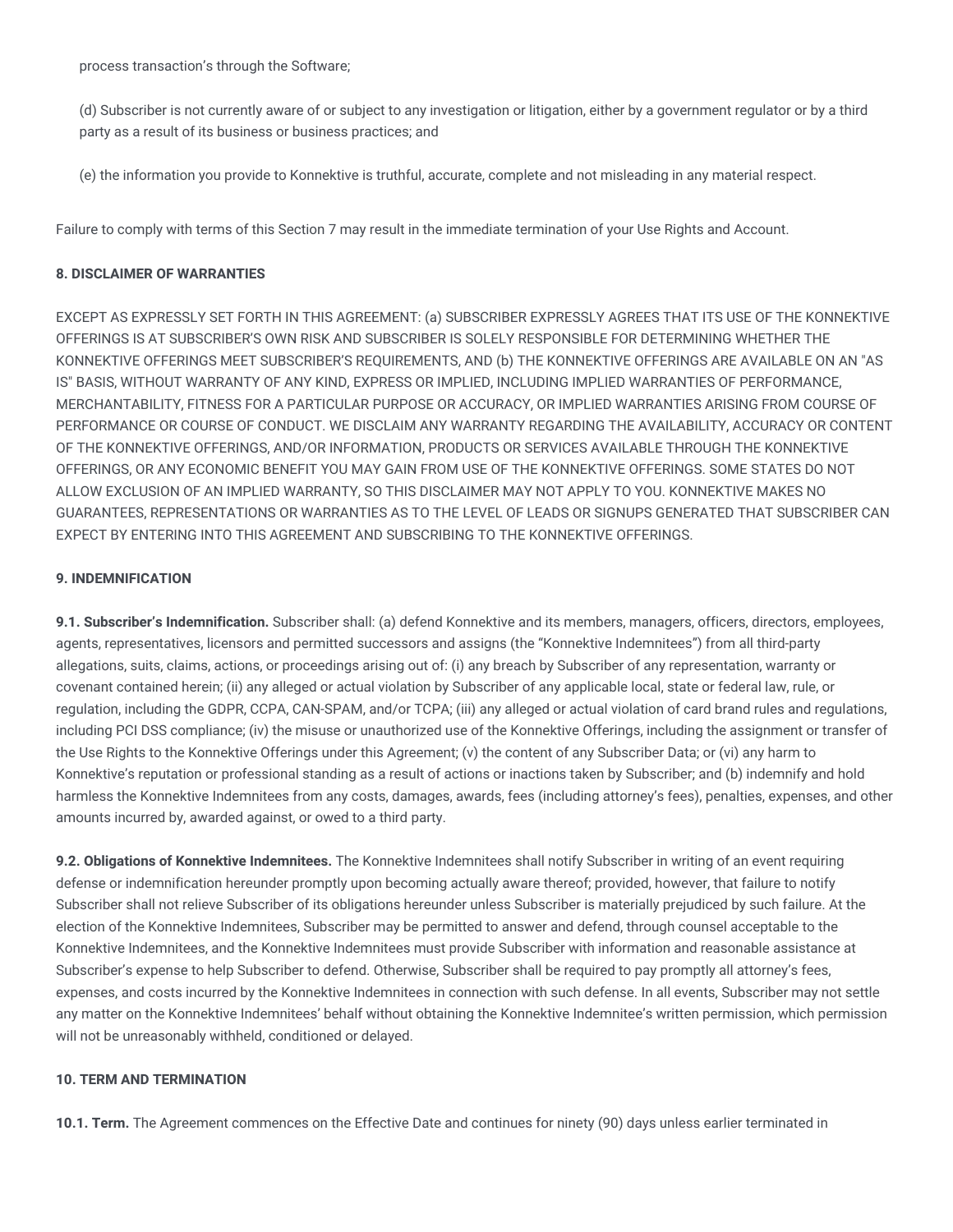process transaction's through the Software;

(d) Subscriber is not currently aware of or subject to any investigation or litigation, either by a government regulator or by a third party as a result of its business or business practices; and

(e) the information you provide to Konnektive is truthful, accurate, complete and not misleading in any material respect.

Failure to comply with terms of this Section 7 may result in the immediate termination of your Use Rights and Account.

### **8. DISCLAIMER OF WARRANTIES**

EXCEPT AS EXPRESSLY SET FORTH IN THIS AGREEMENT: (a) SUBSCRIBER EXPRESSLY AGREES THAT ITS USE OF THE KONNEKTIVE OFFERINGS IS AT SUBSCRIBER'S OWN RISK AND SUBSCRIBER IS SOLELY RESPONSIBLE FOR DETERMINING WHETHER THE KONNEKTIVE OFFERINGS MEET SUBSCRIBER'S REQUIREMENTS, AND (b) THE KONNEKTIVE OFFERINGS ARE AVAILABLE ON AN "AS IS" BASIS, WITHOUT WARRANTY OF ANY KIND, EXPRESS OR IMPLIED, INCLUDING IMPLIED WARRANTIES OF PERFORMANCE, MERCHANTABILITY, FITNESS FOR A PARTICULAR PURPOSE OR ACCURACY, OR IMPLIED WARRANTIES ARISING FROM COURSE OF PERFORMANCE OR COURSE OF CONDUCT. WE DISCLAIM ANY WARRANTY REGARDING THE AVAILABILITY, ACCURACY OR CONTENT OF THE KONNEKTIVE OFFERINGS, AND/OR INFORMATION, PRODUCTS OR SERVICES AVAILABLE THROUGH THE KONNEKTIVE OFFERINGS, OR ANY ECONOMIC BENEFIT YOU MAY GAIN FROM USE OF THE KONNEKTIVE OFFERINGS. SOME STATES DO NOT ALLOW EXCLUSION OF AN IMPLIED WARRANTY, SO THIS DISCLAIMER MAY NOT APPLY TO YOU. KONNEKTIVE MAKES NO GUARANTEES, REPRESENTATIONS OR WARRANTIES AS TO THE LEVEL OF LEADS OR SIGNUPS GENERATED THAT SUBSCRIBER CAN EXPECT BY ENTERING INTO THIS AGREEMENT AND SUBSCRIBING TO THE KONNEKTIVE OFFERINGS.

### **9. INDEMNIFICATION**

**9.1. Subscriber's Indemnification.** Subscriber shall: (a) defend Konnektive and its members, managers, officers, directors, employees, agents, representatives, licensors and permitted successors and assigns (the "Konnektive Indemnitees") from all third-party allegations, suits, claims, actions, or proceedings arising out of: (i) any breach by Subscriber of any representation, warranty or covenant contained herein; (ii) any alleged or actual violation by Subscriber of any applicable local, state or federal law, rule, or regulation, including the GDPR, CCPA, CAN-SPAM, and/or TCPA; (iii) any alleged or actual violation of card brand rules and regulations, including PCI DSS compliance; (iv) the misuse or unauthorized use of the Konnektive Offerings, including the assignment or transfer of the Use Rights to the Konnektive Offerings under this Agreement; (v) the content of any Subscriber Data; or (vi) any harm to Konnektive's reputation or professional standing as a result of actions or inactions taken by Subscriber; and (b) indemnify and hold harmless the Konnektive Indemnitees from any costs, damages, awards, fees (including attorney's fees), penalties, expenses, and other amounts incurred by, awarded against, or owed to a third party.

**9.2. Obligations of Konnektive Indemnitees.** The Konnektive Indemnitees shall notify Subscriber in writing of an event requiring defense or indemnification hereunder promptly upon becoming actually aware thereof; provided, however, that failure to notify Subscriber shall not relieve Subscriber of its obligations hereunder unless Subscriber is materially prejudiced by such failure. At the election of the Konnektive Indemnitees, Subscriber may be permitted to answer and defend, through counsel acceptable to the Konnektive Indemnitees, and the Konnektive Indemnitees must provide Subscriber with information and reasonable assistance at Subscriber's expense to help Subscriber to defend. Otherwise, Subscriber shall be required to pay promptly all attorney's fees, expenses, and costs incurred by the Konnektive Indemnitees in connection with such defense. In all events, Subscriber may not settle any matter on the Konnektive Indemnitees' behalf without obtaining the Konnektive Indemnitee's written permission, which permission will not be unreasonably withheld, conditioned or delayed.

## **10. TERM AND TERMINATION**

**10.1. Term.** The Agreement commences on the Effective Date and continues for ninety (90) days unless earlier terminated in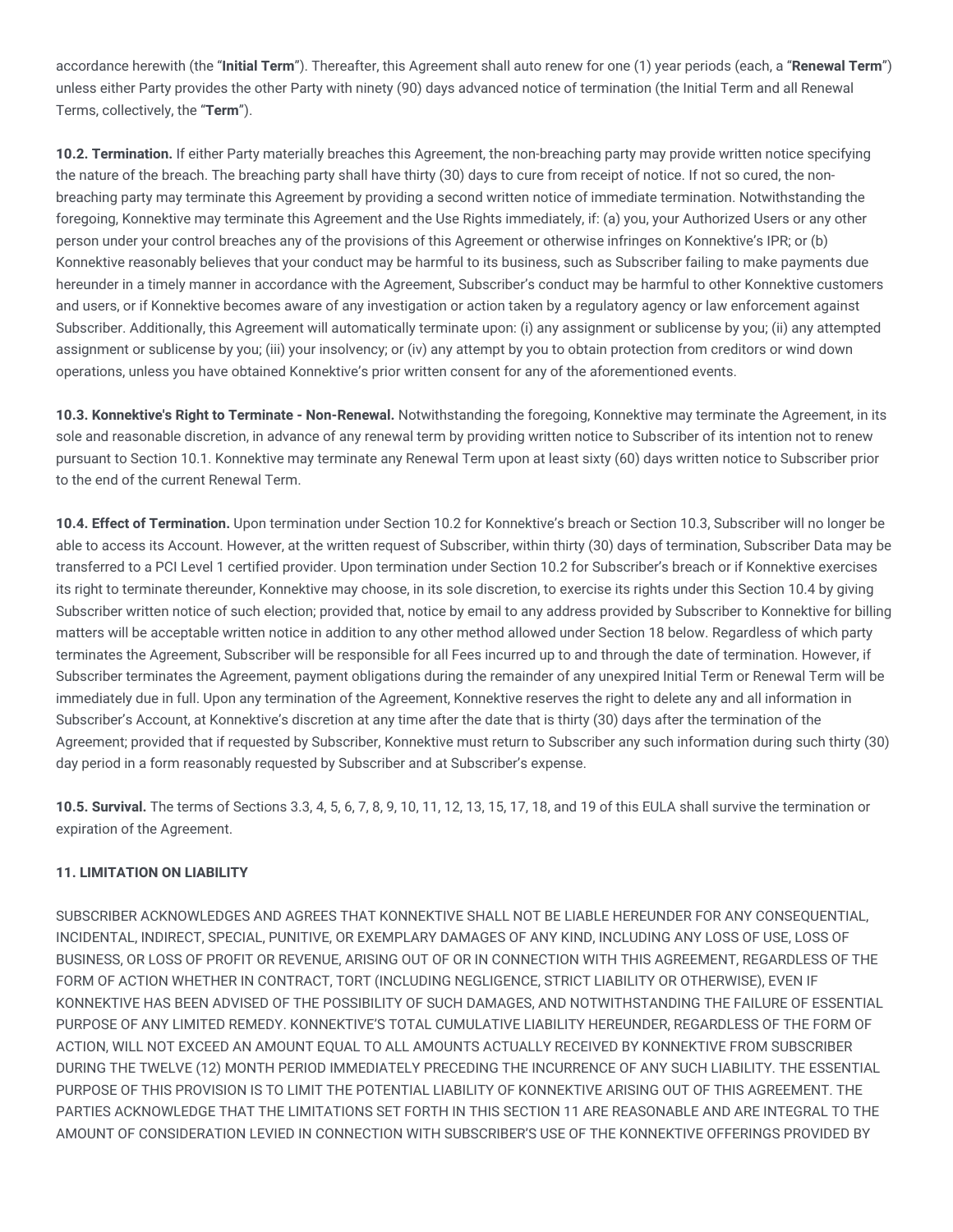accordance herewith (the "**Initial Term**"). Thereafter, this Agreement shall auto renew for one (1) year periods (each, a "**Renewal Term**") unless either Party provides the other Party with ninety (90) days advanced notice of termination (the Initial Term and all Renewal Terms, collectively, the "**Term**").

**10.2. Termination.** If either Party materially breaches this Agreement, the non-breaching party may provide written notice specifying the nature of the breach. The breaching party shall have thirty (30) days to cure from receipt of notice. If not so cured, the nonbreaching party may terminate this Agreement by providing a second written notice of immediate termination. Notwithstanding the foregoing, Konnektive may terminate this Agreement and the Use Rights immediately, if: (a) you, your Authorized Users or any other person under your control breaches any of the provisions of this Agreement or otherwise infringes on Konnektive's IPR; or (b) Konnektive reasonably believes that your conduct may be harmful to its business, such as Subscriber failing to make payments due hereunder in a timely manner in accordance with the Agreement, Subscriber's conduct may be harmful to other Konnektive customers and users, or if Konnektive becomes aware of any investigation or action taken by a regulatory agency or law enforcement against Subscriber. Additionally, this Agreement will automatically terminate upon: (i) any assignment or sublicense by you; (ii) any attempted assignment or sublicense by you; (iii) your insolvency; or (iv) any attempt by you to obtain protection from creditors or wind down operations, unless you have obtained Konnektive's prior written consent for any of the aforementioned events.

**10.3. Konnektive's Right to Terminate - Non-Renewal.** Notwithstanding the foregoing, Konnektive may terminate the Agreement, in its sole and reasonable discretion, in advance of any renewal term by providing written notice to Subscriber of its intention not to renew pursuant to Section 10.1. Konnektive may terminate any Renewal Term upon at least sixty (60) days written notice to Subscriber prior to the end of the current Renewal Term.

**10.4. Effect of Termination.** Upon termination under Section 10.2 for Konnektive's breach or Section 10.3, Subscriber will no longer be able to access its Account. However, at the written request of Subscriber, within thirty (30) days of termination, Subscriber Data may be transferred to a PCI Level 1 certified provider. Upon termination under Section 10.2 for Subscriber's breach or if Konnektive exercises its right to terminate thereunder, Konnektive may choose, in its sole discretion, to exercise its rights under this Section 10.4 by giving Subscriber written notice of such election; provided that, notice by email to any address provided by Subscriber to Konnektive for billing matters will be acceptable written notice in addition to any other method allowed under Section 18 below. Regardless of which party terminates the Agreement, Subscriber will be responsible for all Fees incurred up to and through the date of termination. However, if Subscriber terminates the Agreement, payment obligations during the remainder of any unexpired Initial Term or Renewal Term will be immediately due in full. Upon any termination of the Agreement, Konnektive reserves the right to delete any and all information in Subscriber's Account, at Konnektive's discretion at any time after the date that is thirty (30) days after the termination of the Agreement; provided that if requested by Subscriber, Konnektive must return to Subscriber any such information during such thirty (30) day period in a form reasonably requested by Subscriber and at Subscriber's expense.

**10.5. Survival.** The terms of Sections 3.3, 4, 5, 6, 7, 8, 9, 10, 11, 12, 13, 15, 17, 18, and 19 of this EULA shall survive the termination or expiration of the Agreement.

# **11. LIMITATION ON LIABILITY**

SUBSCRIBER ACKNOWLEDGES AND AGREES THAT KONNEKTIVE SHALL NOT BE LIABLE HEREUNDER FOR ANY CONSEQUENTIAL, INCIDENTAL, INDIRECT, SPECIAL, PUNITIVE, OR EXEMPLARY DAMAGES OF ANY KIND, INCLUDING ANY LOSS OF USE, LOSS OF BUSINESS, OR LOSS OF PROFIT OR REVENUE, ARISING OUT OF OR IN CONNECTION WITH THIS AGREEMENT, REGARDLESS OF THE FORM OF ACTION WHETHER IN CONTRACT, TORT (INCLUDING NEGLIGENCE, STRICT LIABILITY OR OTHERWISE), EVEN IF KONNEKTIVE HAS BEEN ADVISED OF THE POSSIBILITY OF SUCH DAMAGES, AND NOTWITHSTANDING THE FAILURE OF ESSENTIAL PURPOSE OF ANY LIMITED REMEDY. KONNEKTIVE'S TOTAL CUMULATIVE LIABILITY HEREUNDER, REGARDLESS OF THE FORM OF ACTION, WILL NOT EXCEED AN AMOUNT EQUAL TO ALL AMOUNTS ACTUALLY RECEIVED BY KONNEKTIVE FROM SUBSCRIBER DURING THE TWELVE (12) MONTH PERIOD IMMEDIATELY PRECEDING THE INCURRENCE OF ANY SUCH LIABILITY. THE ESSENTIAL PURPOSE OF THIS PROVISION IS TO LIMIT THE POTENTIAL LIABILITY OF KONNEKTIVE ARISING OUT OF THIS AGREEMENT. THE PARTIES ACKNOWLEDGE THAT THE LIMITATIONS SET FORTH IN THIS SECTION 11 ARE REASONABLE AND ARE INTEGRAL TO THE AMOUNT OF CONSIDERATION LEVIED IN CONNECTION WITH SUBSCRIBER'S USE OF THE KONNEKTIVE OFFERINGS PROVIDED BY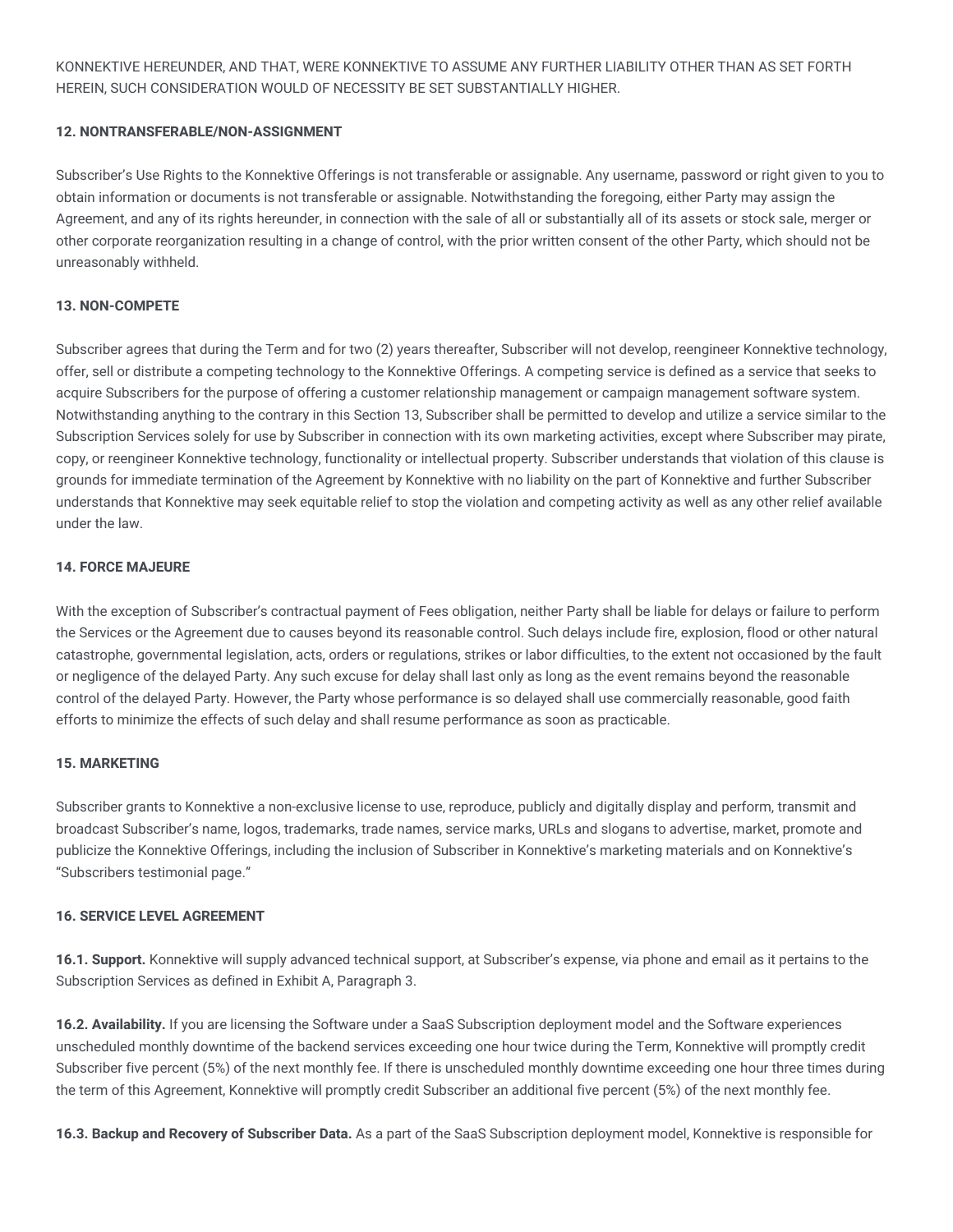KONNEKTIVE HEREUNDER, AND THAT, WERE KONNEKTIVE TO ASSUME ANY FURTHER LIABILITY OTHER THAN AS SET FORTH HEREIN, SUCH CONSIDERATION WOULD OF NECESSITY BE SET SUBSTANTIALLY HIGHER.

### **12. NONTRANSFERABLE/NON-ASSIGNMENT**

Subscriber's Use Rights to the Konnektive Offerings is not transferable or assignable. Any username, password or right given to you to obtain information or documents is not transferable or assignable. Notwithstanding the foregoing, either Party may assign the Agreement, and any of its rights hereunder, in connection with the sale of all or substantially all of its assets or stock sale, merger or other corporate reorganization resulting in a change of control, with the prior written consent of the other Party, which should not be unreasonably withheld.

### **13. NON-COMPETE**

Subscriber agrees that during the Term and for two (2) years thereafter, Subscriber will not develop, reengineer Konnektive technology, offer, sell or distribute a competing technology to the Konnektive Offerings. A competing service is defined as a service that seeks to acquire Subscribers for the purpose of offering a customer relationship management or campaign management software system. Notwithstanding anything to the contrary in this Section 13, Subscriber shall be permitted to develop and utilize a service similar to the Subscription Services solely for use by Subscriber in connection with its own marketing activities, except where Subscriber may pirate, copy, or reengineer Konnektive technology, functionality or intellectual property. Subscriber understands that violation of this clause is grounds for immediate termination of the Agreement by Konnektive with no liability on the part of Konnektive and further Subscriber understands that Konnektive may seek equitable relief to stop the violation and competing activity as well as any other relief available under the law.

### **14. FORCE MAJEURE**

With the exception of Subscriber's contractual payment of Fees obligation, neither Party shall be liable for delays or failure to perform the Services or the Agreement due to causes beyond its reasonable control. Such delays include fire, explosion, flood or other natural catastrophe, governmental legislation, acts, orders or regulations, strikes or labor difficulties, to the extent not occasioned by the fault or negligence of the delayed Party. Any such excuse for delay shall last only as long as the event remains beyond the reasonable control of the delayed Party. However, the Party whose performance is so delayed shall use commercially reasonable, good faith efforts to minimize the effects of such delay and shall resume performance as soon as practicable.

#### **15. MARKETING**

Subscriber grants to Konnektive a non-exclusive license to use, reproduce, publicly and digitally display and perform, transmit and broadcast Subscriber's name, logos, trademarks, trade names, service marks, URLs and slogans to advertise, market, promote and publicize the Konnektive Offerings, including the inclusion of Subscriber in Konnektive's marketing materials and on Konnektive's "Subscribers testimonial page."

### **16. SERVICE LEVEL AGREEMENT**

**16.1. Support.** Konnektive will supply advanced technical support, at Subscriber's expense, via phone and email as it pertains to the Subscription Services as defined in Exhibit A, Paragraph 3.

**16.2. Availability.** If you are licensing the Software under a SaaS Subscription deployment model and the Software experiences unscheduled monthly downtime of the backend services exceeding one hour twice during the Term, Konnektive will promptly credit Subscriber five percent (5%) of the next monthly fee. If there is unscheduled monthly downtime exceeding one hour three times during the term of this Agreement, Konnektive will promptly credit Subscriber an additional five percent (5%) of the next monthly fee.

**16.3. Backup and Recovery of Subscriber Data.** As a part of the SaaS Subscription deployment model, Konnektive is responsible for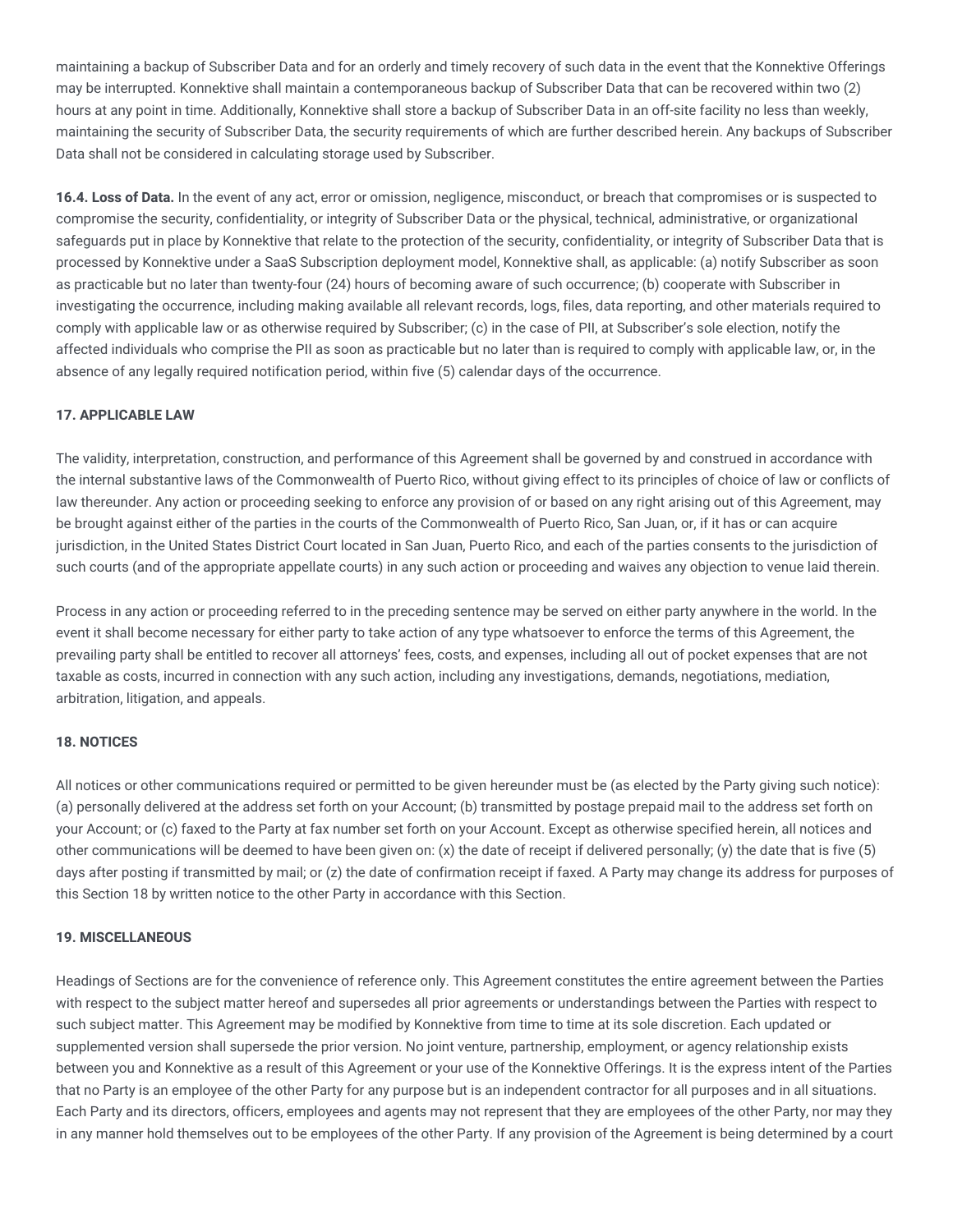maintaining a backup of Subscriber Data and for an orderly and timely recovery of such data in the event that the Konnektive Offerings may be interrupted. Konnektive shall maintain a contemporaneous backup of Subscriber Data that can be recovered within two (2) hours at any point in time. Additionally, Konnektive shall store a backup of Subscriber Data in an off-site facility no less than weekly, maintaining the security of Subscriber Data, the security requirements of which are further described herein. Any backups of Subscriber Data shall not be considered in calculating storage used by Subscriber.

**16.4. Loss of Data.** In the event of any act, error or omission, negligence, misconduct, or breach that compromises or is suspected to compromise the security, confidentiality, or integrity of Subscriber Data or the physical, technical, administrative, or organizational safeguards put in place by Konnektive that relate to the protection of the security, confidentiality, or integrity of Subscriber Data that is processed by Konnektive under a SaaS Subscription deployment model, Konnektive shall, as applicable: (a) notify Subscriber as soon as practicable but no later than twenty-four (24) hours of becoming aware of such occurrence; (b) cooperate with Subscriber in investigating the occurrence, including making available all relevant records, logs, files, data reporting, and other materials required to comply with applicable law or as otherwise required by Subscriber; (c) in the case of PII, at Subscriber's sole election, notify the affected individuals who comprise the PII as soon as practicable but no later than is required to comply with applicable law, or, in the absence of any legally required notification period, within five (5) calendar days of the occurrence.

### **17. APPLICABLE LAW**

The validity, interpretation, construction, and performance of this Agreement shall be governed by and construed in accordance with the internal substantive laws of the Commonwealth of Puerto Rico, without giving effect to its principles of choice of law or conflicts of law thereunder. Any action or proceeding seeking to enforce any provision of or based on any right arising out of this Agreement, may be brought against either of the parties in the courts of the Commonwealth of Puerto Rico, San Juan, or, if it has or can acquire jurisdiction, in the United States District Court located in San Juan, Puerto Rico, and each of the parties consents to the jurisdiction of such courts (and of the appropriate appellate courts) in any such action or proceeding and waives any objection to venue laid therein.

Process in any action or proceeding referred to in the preceding sentence may be served on either party anywhere in the world. In the event it shall become necessary for either party to take action of any type whatsoever to enforce the terms of this Agreement, the prevailing party shall be entitled to recover all attorneys' fees, costs, and expenses, including all out of pocket expenses that are not taxable as costs, incurred in connection with any such action, including any investigations, demands, negotiations, mediation, arbitration, litigation, and appeals.

### **18. NOTICES**

All notices or other communications required or permitted to be given hereunder must be (as elected by the Party giving such notice): (a) personally delivered at the address set forth on your Account; (b) transmitted by postage prepaid mail to the address set forth on your Account; or (c) faxed to the Party at fax number set forth on your Account. Except as otherwise specified herein, all notices and other communications will be deemed to have been given on: (x) the date of receipt if delivered personally; (y) the date that is five (5) days after posting if transmitted by mail; or (z) the date of confirmation receipt if faxed. A Party may change its address for purposes of this Section 18 by written notice to the other Party in accordance with this Section.

#### **19. MISCELLANEOUS**

Headings of Sections are for the convenience of reference only. This Agreement constitutes the entire agreement between the Parties with respect to the subject matter hereof and supersedes all prior agreements or understandings between the Parties with respect to such subject matter. This Agreement may be modified by Konnektive from time to time at its sole discretion. Each updated or supplemented version shall supersede the prior version. No joint venture, partnership, employment, or agency relationship exists between you and Konnektive as a result of this Agreement or your use of the Konnektive Offerings. It is the express intent of the Parties that no Party is an employee of the other Party for any purpose but is an independent contractor for all purposes and in all situations. Each Party and its directors, officers, employees and agents may not represent that they are employees of the other Party, nor may they in any manner hold themselves out to be employees of the other Party. If any provision of the Agreement is being determined by a court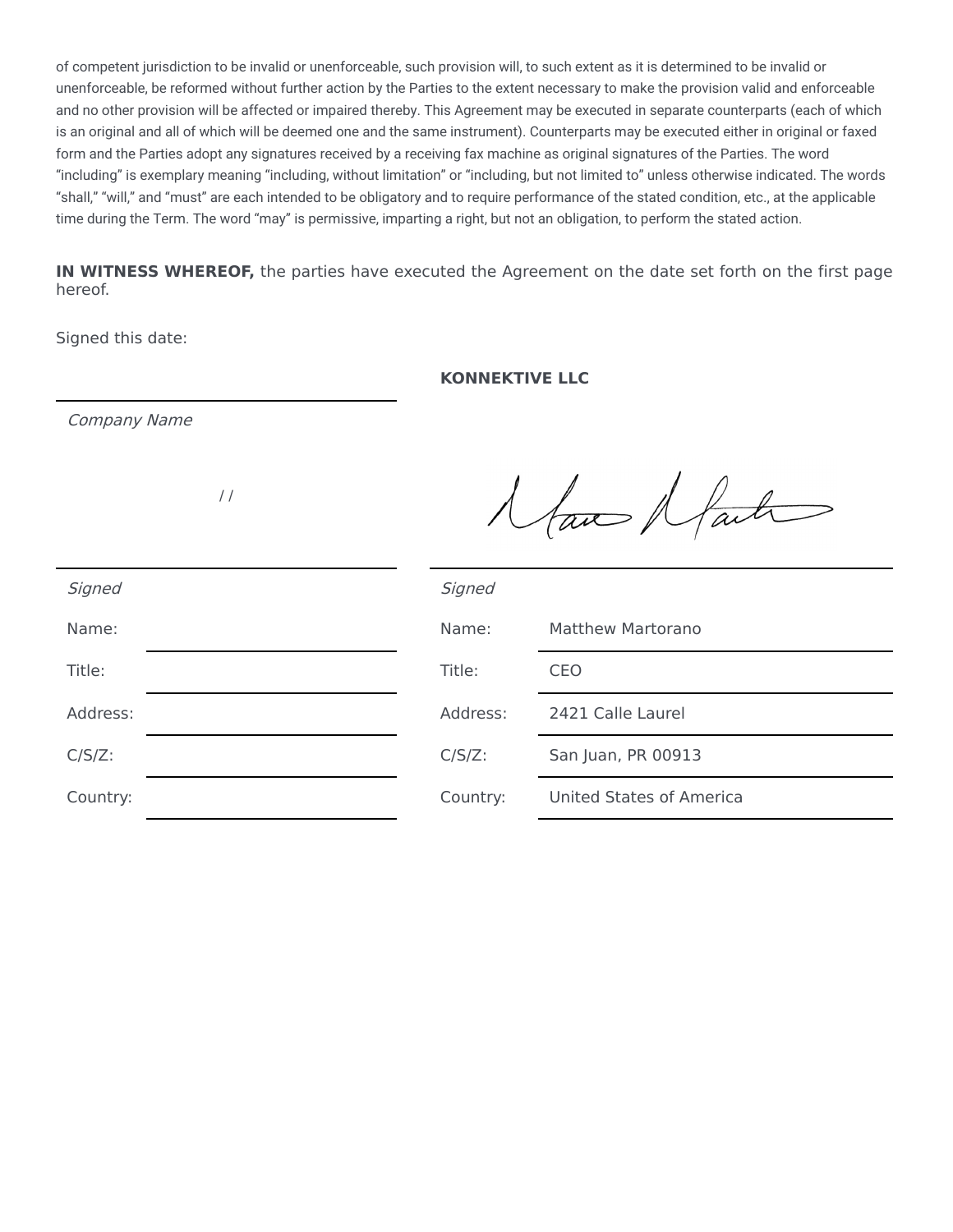of competent jurisdiction to be invalid or unenforceable, such provision will, to such extent as it is determined to be invalid or unenforceable, be reformed without further action by the Parties to the extent necessary to make the provision valid and enforceable and no other provision will be affected or impaired thereby. This Agreement may be executed in separate counterparts (each of which is an original and all of which will be deemed one and the same instrument). Counterparts may be executed either in original or faxed form and the Parties adopt any signatures received by a receiving fax machine as original signatures of the Parties. The word "including" is exemplary meaning "including, without limitation" or "including, but not limited to" unless otherwise indicated. The words "shall," "will," and "must" are each intended to be obligatory and to require performance of the stated condition, etc., at the applicable time during the Term. The word "may" is permissive, imparting a right, but not an obligation, to perform the stated action.

**IN WITNESS WHEREOF,** the parties have executed the Agreement on the date set forth on the first page hereof.

Signed this date:

# **KONNEKTIVE LLC**

Company Name

/ /

Naw Naut

| Signed    | Signed    |                                 |
|-----------|-----------|---------------------------------|
| Name:     | Name:     | <b>Matthew Martorano</b>        |
| Title:    | Title:    | CEO                             |
| Address:  | Address:  | 2421 Calle Laurel               |
| $C/S/Z$ : | $C/S/Z$ : | San Juan, PR 00913              |
| Country:  | Country:  | <b>United States of America</b> |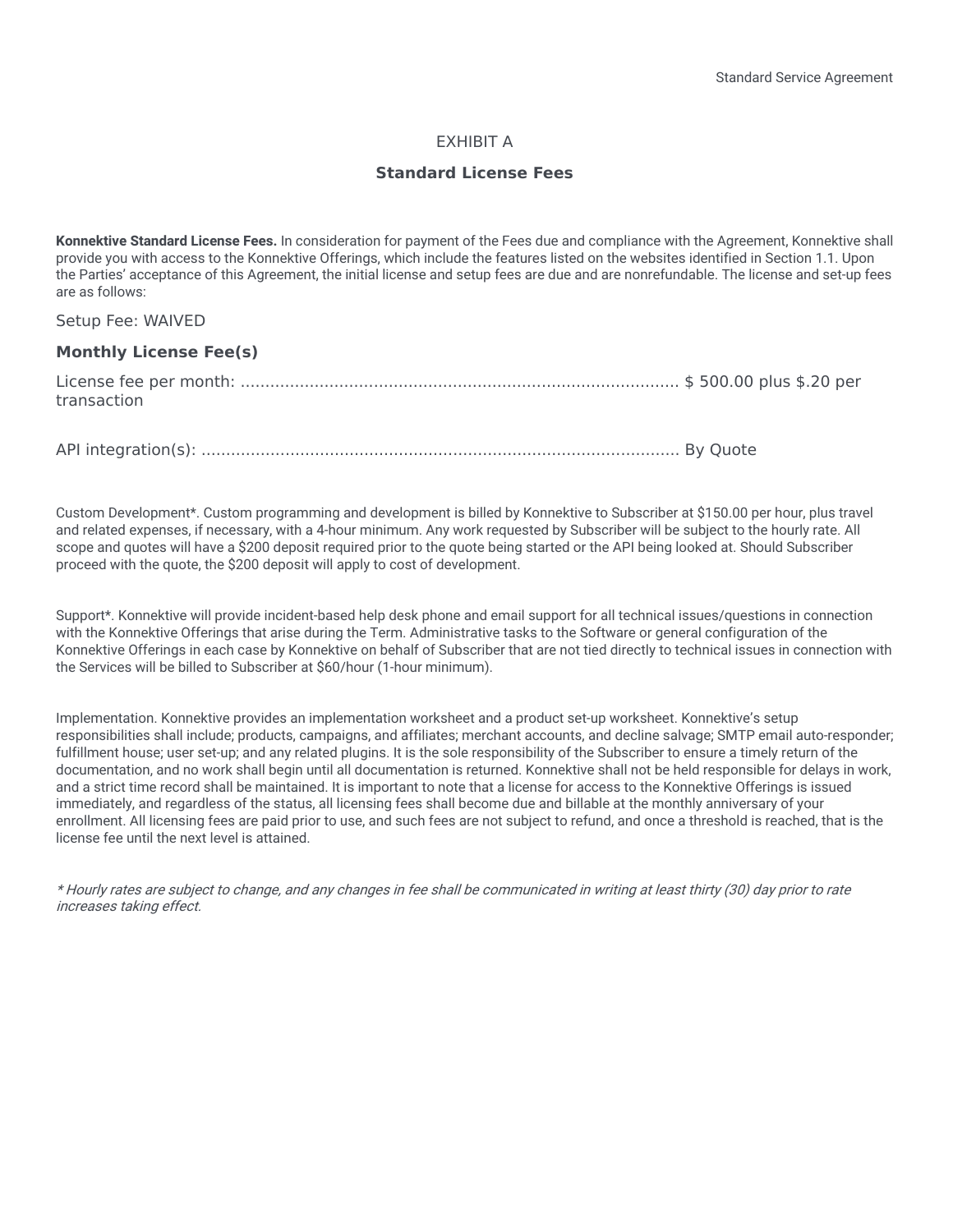# EXHIBIT A

# **Standard License Fees**

**Konnektive Standard License Fees.** In consideration for payment of the Fees due and compliance with the Agreement, Konnektive shall provide you with access to the Konnektive Offerings, which include the features listed on the websites identified in Section 1.1. Upon the Parties' acceptance of this Agreement, the initial license and setup fees are due and are nonrefundable. The license and set-up fees are as follows:

Setup Fee: WAIVED

## **Monthly License Fee(s)**

| transaction |  |
|-------------|--|
|             |  |
|             |  |

API integration(s): ................................................................................................. By Quote

Custom Development\*. Custom programming and development is billed by Konnektive to Subscriber at \$150.00 per hour, plus travel and related expenses, if necessary, with a 4-hour minimum. Any work requested by Subscriber will be subject to the hourly rate. All scope and quotes will have a \$200 deposit required prior to the quote being started or the API being looked at. Should Subscriber proceed with the quote, the \$200 deposit will apply to cost of development.

Support\*. Konnektive will provide incident-based help desk phone and email support for all technical issues/questions in connection with the Konnektive Offerings that arise during the Term. Administrative tasks to the Software or general configuration of the Konnektive Offerings in each case by Konnektive on behalf of Subscriber that are not tied directly to technical issues in connection with the Services will be billed to Subscriber at \$60/hour (1-hour minimum).

Implementation. Konnektive provides an implementation worksheet and a product set-up worksheet. Konnektive's setup responsibilities shall include; products, campaigns, and affiliates; merchant accounts, and decline salvage; SMTP email auto-responder; fulfillment house; user set-up; and any related plugins. It is the sole responsibility of the Subscriber to ensure a timely return of the documentation, and no work shall begin until all documentation is returned. Konnektive shall not be held responsible for delays in work, and a strict time record shall be maintained. It is important to note that a license for access to the Konnektive Offerings is issued immediately, and regardless of the status, all licensing fees shall become due and billable at the monthly anniversary of your enrollment. All licensing fees are paid prior to use, and such fees are not subject to refund, and once a threshold is reached, that is the license fee until the next level is attained.

\* Hourly rates are subject to change, and any changes in fee shall be communicated in writing at least thirty (30) day prior to rate increases taking effect.